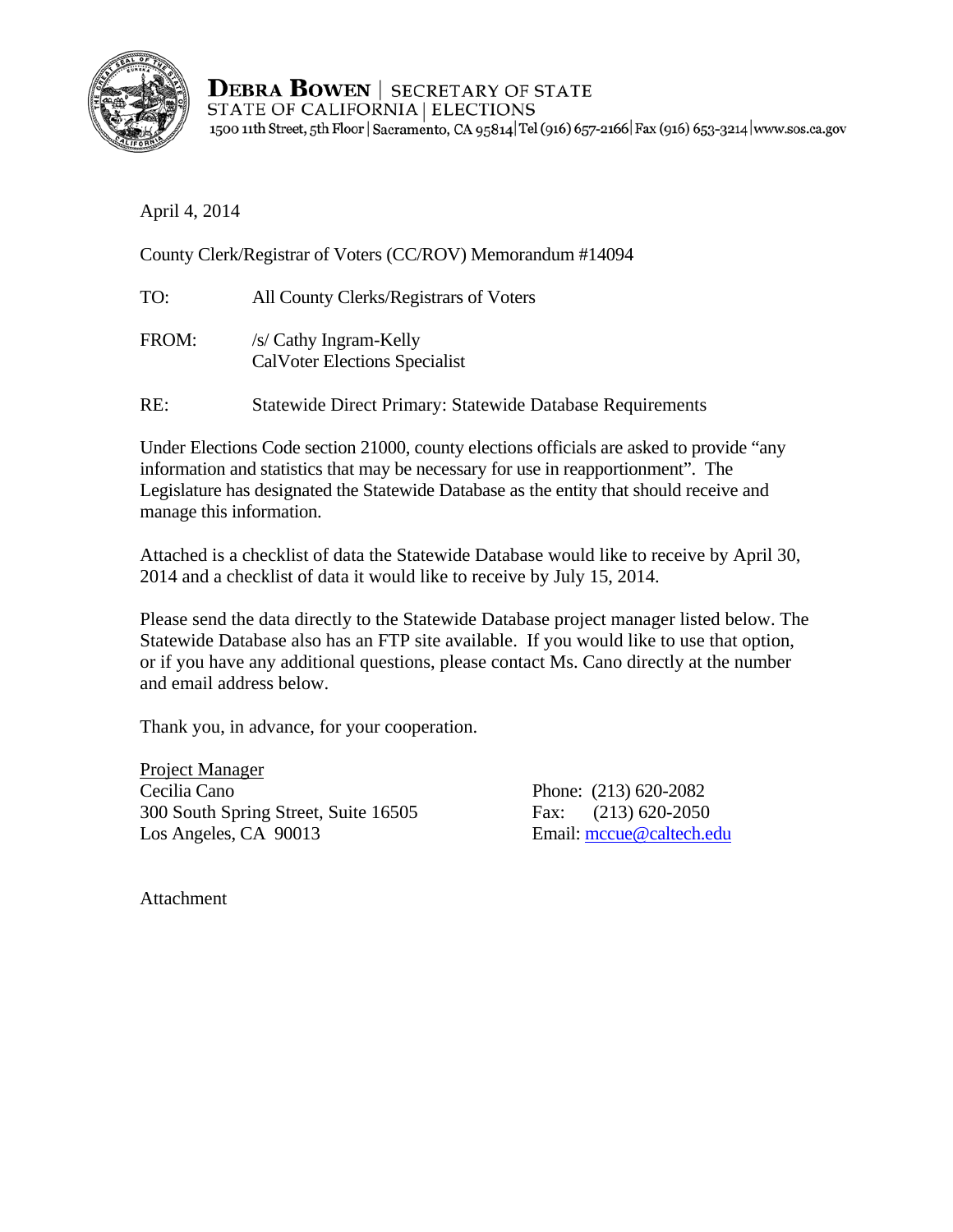

**DEBRA BOWEN | SECRETARY OF STATE** STATE OF CALIFORNIA | ELECTIONS 1500 11th Street, 5th Floor | Sacramento, CA 95814 Tel (916) 657-2166 | Fax (916) 653-3214 | www.sos.ca.gov

April 4, 2014

County Clerk/Registrar of Voters (CC/ROV) Memorandum #14094

| TO:   | All County Clerks/Registrars of Voters                           |
|-------|------------------------------------------------------------------|
| FROM: | /s/ Cathy Ingram-Kelly<br><b>CalVoter Elections Specialist</b>   |
| RE:   | <b>Statewide Direct Primary: Statewide Database Requirements</b> |

Under Elections Code section 21000, county elections officials are asked to provide "any information and statistics that may be necessary for use in reapportionment". The Legislature has designated the Statewide Database as the entity that should receive and manage this information.

Attached is a checklist of data the Statewide Database would like to receive by April 30, 2014 and a checklist of data it would like to receive by July 15, 2014.

Please send the data directly to the Statewide Database project manager listed below. The Statewide Database also has an FTP site available. If you would like to use that option, or if you have any additional questions, please contact Ms. Cano directly at the number and email address below.

Thank you, in advance, for your cooperation.

 300 South Spring Street, Suite 16505 Fax: (213) 620-2050 Project Manager Cecilia Cano Phone: (213) 620-2082 Los Angeles, CA 90013 Email: mccue@caltech.edu

Attachment